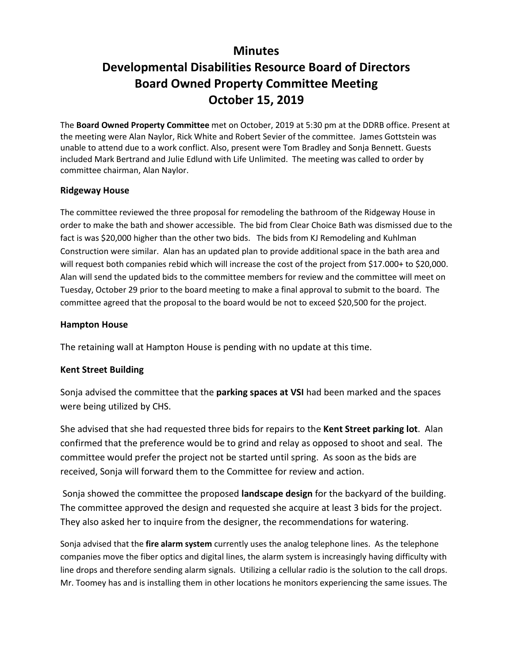## **Minutes**

# **Developmental Disabilities Resource Board of Directors Board Owned Property Committee Meeting October 15, 2019**

The **Board Owned Property Committee** met on October, 2019 at 5:30 pm at the DDRB office. Present at the meeting were Alan Naylor, Rick White and Robert Sevier of the committee. James Gottstein was unable to attend due to a work conflict. Also, present were Tom Bradley and Sonja Bennett. Guests included Mark Bertrand and Julie Edlund with Life Unlimited. The meeting was called to order by committee chairman, Alan Naylor.

#### **Ridgeway House**

The committee reviewed the three proposal for remodeling the bathroom of the Ridgeway House in order to make the bath and shower accessible. The bid from Clear Choice Bath was dismissed due to the fact is was \$20,000 higher than the other two bids. The bids from KJ Remodeling and Kuhlman Construction were similar. Alan has an updated plan to provide additional space in the bath area and will request both companies rebid which will increase the cost of the project from \$17.000+ to \$20,000. Alan will send the updated bids to the committee members for review and the committee will meet on Tuesday, October 29 prior to the board meeting to make a final approval to submit to the board. The committee agreed that the proposal to the board would be not to exceed \$20,500 for the project.

#### **Hampton House**

The retaining wall at Hampton House is pending with no update at this time.

#### **Kent Street Building**

Sonja advised the committee that the **parking spaces at VSI** had been marked and the spaces were being utilized by CHS.

She advised that she had requested three bids for repairs to the **Kent Street parking lot**. Alan confirmed that the preference would be to grind and relay as opposed to shoot and seal. The committee would prefer the project not be started until spring. As soon as the bids are received, Sonja will forward them to the Committee for review and action.

Sonja showed the committee the proposed **landscape design** for the backyard of the building. The committee approved the design and requested she acquire at least 3 bids for the project. They also asked her to inquire from the designer, the recommendations for watering.

Sonja advised that the **fire alarm system** currently uses the analog telephone lines. As the telephone companies move the fiber optics and digital lines, the alarm system is increasingly having difficulty with line drops and therefore sending alarm signals. Utilizing a cellular radio is the solution to the call drops. Mr. Toomey has and is installing them in other locations he monitors experiencing the same issues. The